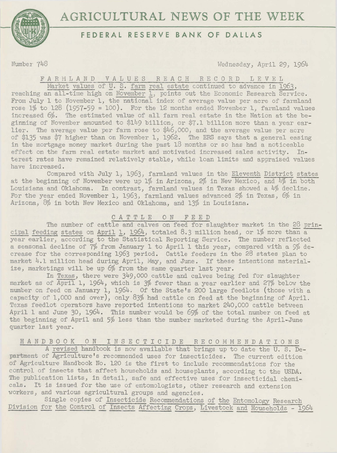



# **FEDERAL RESERVE BANK OF DALLAS**

Number 748 Wednesday, April 29, 196L~

F *A* R i'1 L *A* N D V *A* L U E S R E *A* C H R E C 0 R D LEVEL

Market values of U. S. farm real estate continued to advance in 1963, reaching an all-time high on November 1, points out the Economic Research Service. From July 1 to November 1, the national index of average value per acre of farmland rose  $1\%$  to  $128$  (1957-59 = 100). For the 12 months ended November 1, farmland values increased 6%. The estimated value of all farm real estate in the Nation at the beginning of November amounted to  $$149$  billion, or  $$7.1$  billion more than a year earlier. The average value per farm rose to \$46,000, and the average value per acre of \$135 was \$7 higher than on November 1, 1962. The ERS says that a general easing in the mortgage money market during the past 18 months or so has had a noticeable effect on the farm real estate market and motivated increased sales activity. Interest rates have remained relatively stable, while loan limits and appraised values have increased.

Compared with July 1, 1963, farmland values in the Eleventh District states at the beginning of November were up 1% in Arizona, 2% in New Mexico, and 4% in both Louisiana and Oklahoma. In contrast, farmland values in Texas showed a  $4\%$  decline. For the year ended November 1, 1963, farmland values advanced 2% in Texas, 6% in Arizona, 8% in both New Mexico and Oklahoma, and 13% in Louisiana.

## C *A* T T L E 0 N FEED

The number of cattle and calves on feed for slaughter market in the 28 principal feeding states on April 1, 1964, totaled 8.3 million head, or  $1\%$  more than a year earlier, according to the Statistical Reporting Service. The number reflected a seasonal decline of 7% from January 1 to April 1 this year, compared with a 9% decrease for the corresponding 1963 period. Cattle feeders in the 28 states plan to market  $4.1$  million head during April, May, and June. If these intentions materialize, marketings will be up 6% from the same quarter last year.

In Texas, there were 349,000 cattle and calves being fed for slaughter market as of April 1, 1964, which is 3% fewer than a year earlier and 27% below the number on feed on January 1, 1964. Of the State's 200 large feedlots (those with a capacity of 1,000 and over), only 83% had cattle on feed at the beginning of April. Texas feedlot operators have reported intentions to market 240,000 cattle between April 1 and June 30, 1964. This number would be 69% of the total number on feed at the beginning of April and 5% less than the number marketed during the April-June quarter last year.

## HANDBOOK 0 N I N S E C T I C I D E R E C 0 M M E N D *A* T I 0 N S

A revised handbook is now available that brings up to date the U. S. Department of Agriculture's recommended uses for insecticides. The current edition of Agriculture Handbook No. 120 is the first to include recommendations for the control of insects that affect households and houseplants, according to the USDA. The publication lists, in detail, safe and effective uses for insecticidal chemicals. It is issued for the use of entomologists, other research and extension workers, and various agricultural groups and agencies.

Single copies of Insecticide Recommendations of the Entomology Research Division for the Control of Insects Affecting Crops, Livestock and Households - 1964